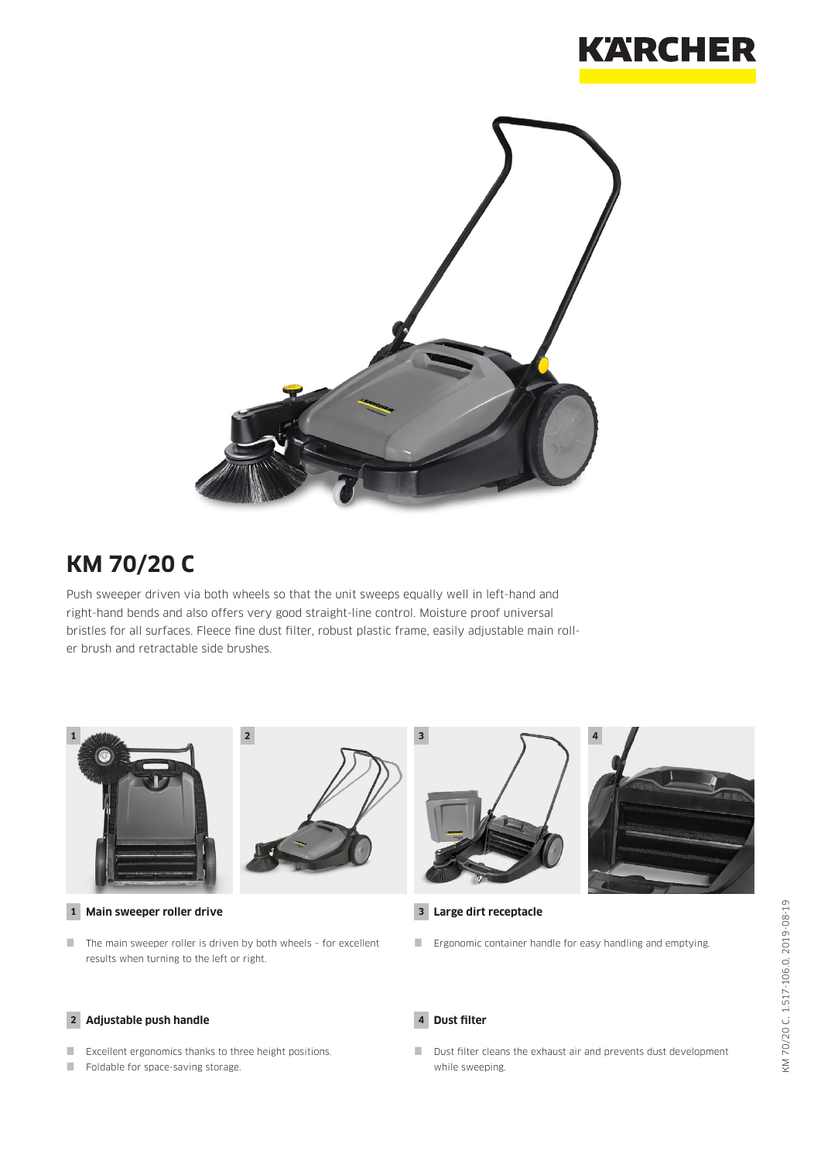



# **KM 70/20 C**

Push sweeper driven via both wheels so that the unit sweeps equally well in left-hand and right-hand bends and also offers very good straight-line control. Moisture proof universal bristles for all surfaces. Fleece fine dust filter, robust plastic frame, easily adjustable main roller brush and retractable side brushes.



**1 Main sweeper roller drive**

 $\blacksquare$  The main sweeper roller is driven by both wheels - for excellent results when turning to the left or right.

#### **2 Adjustable push handle**

- Excellent ergonomics thanks to three height positions.
- Foldable for space-saving storage.





**3 Large dirt receptacle**

**Example 2** Ergonomic container handle for easy handling and emptying.

**4 Dust filter**

Dust filter cleans the exhaust air and prevents dust development while sweeping.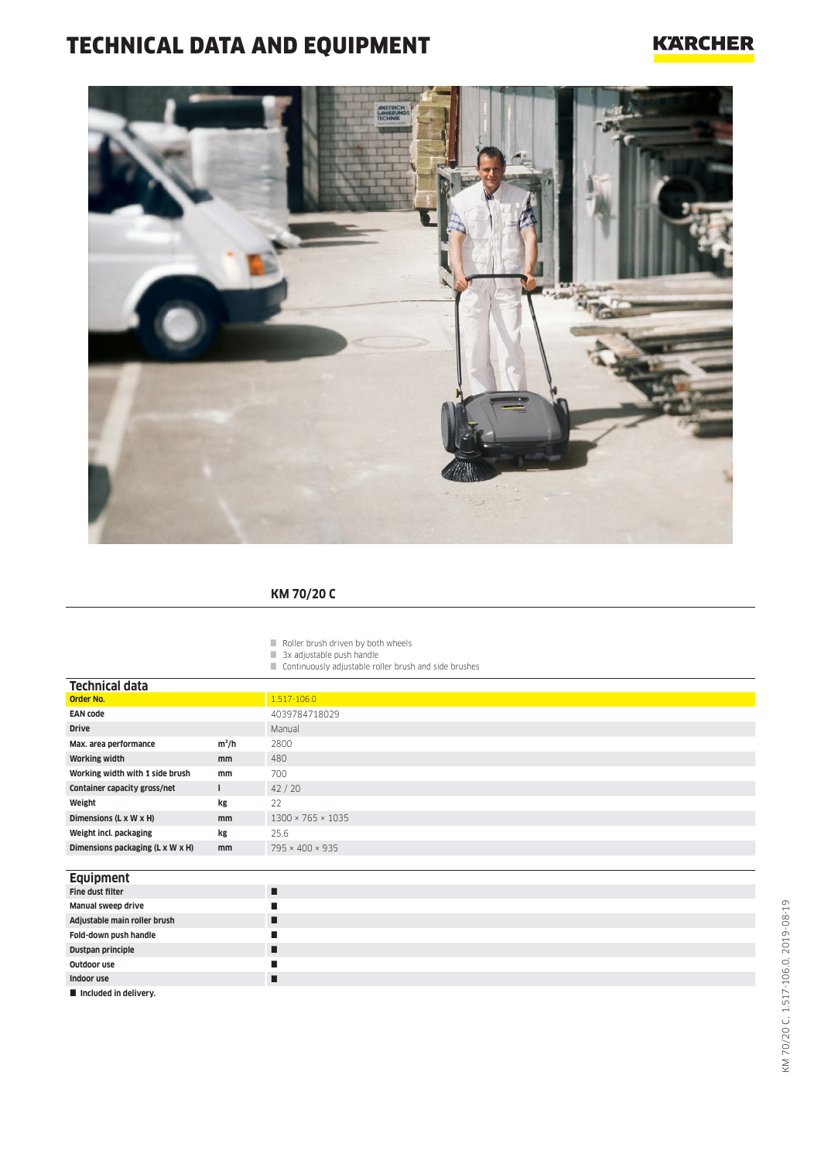# TECHNICAL DATA AND EQUIPMENT

### **KARCHER**



#### **KM 70/20 C**

- $\blacksquare$  Roller brush driven by both wheels
- 3x adjustable push handle
- Continuously adjustable roller brush and side brushes

| Technical data                   |               |                               |
|----------------------------------|---------------|-------------------------------|
| <b>Order No.</b>                 |               | $1.517 - 106.0$               |
| <b>EAN code</b>                  |               | 4039784718029                 |
| <b>Drive</b>                     |               | Manual                        |
| Max. area performance            | $m^2/h$       | 2800                          |
| <b>Working width</b>             | <sub>mm</sub> | 480                           |
| Working width with 1 side brush  | mm            | 700                           |
| Container capacity gross/net     | ш             | 42/20                         |
| Weight                           | kg            | 22                            |
| Dimensions (L x W x H)           | <sub>mm</sub> | $1300 \times 765 \times 1035$ |
| Weight incl. packaging           | kg            | 25,6                          |
| Dimensions packaging (L x W x H) | mm            | 795 × 400 × 935               |
|                                  |               |                               |

#### **Equipment**

| Fine dust filter             | ш |
|------------------------------|---|
| Manual sweep drive           |   |
| Adjustable main roller brush |   |
| Fold-down push handle        |   |
| Dustpan principle            |   |
| Outdoor use                  |   |
| Indoor use                   |   |
| Included in delivery.        |   |

L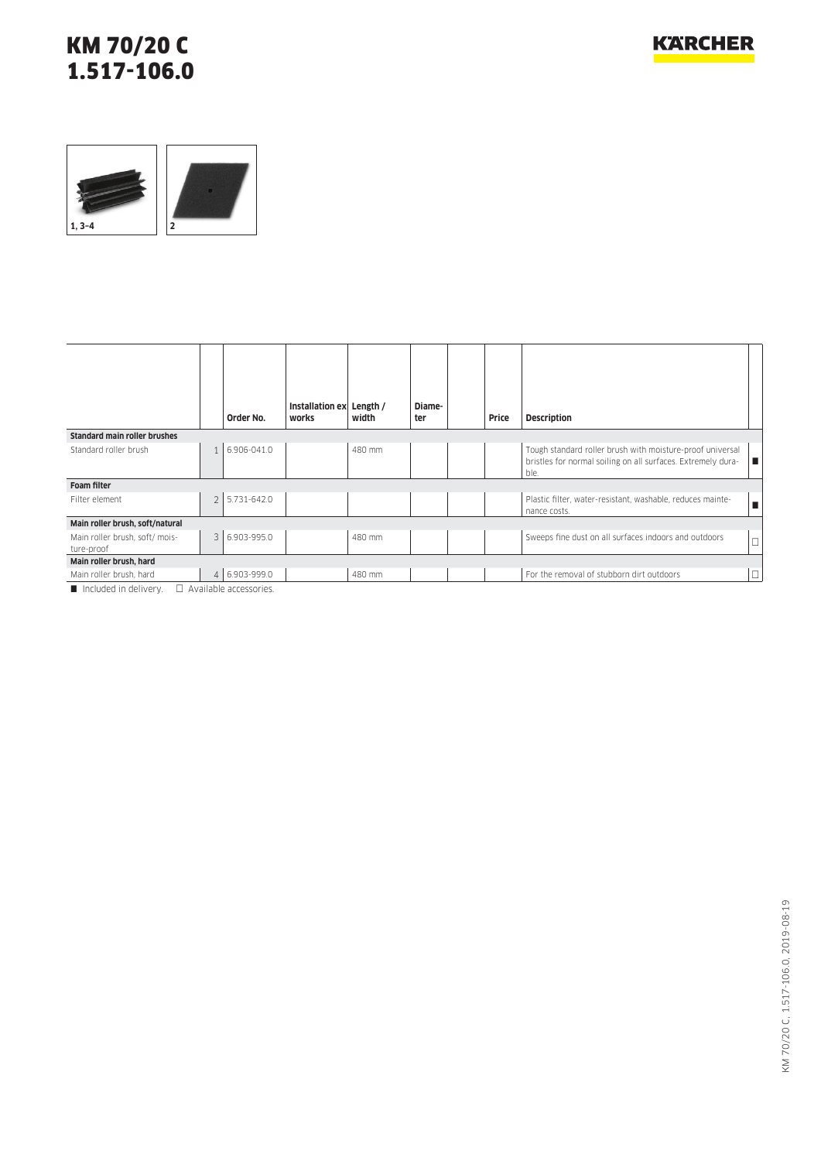### KM 70/20 C 1.517-106.0



|                                             |                         | Order No.                    | Installation ex<br>works | Length /<br>width | Diame-<br>ter | Price | <b>Description</b>                                                                                                                |        |
|---------------------------------------------|-------------------------|------------------------------|--------------------------|-------------------|---------------|-------|-----------------------------------------------------------------------------------------------------------------------------------|--------|
| <b>Standard main roller brushes</b>         |                         |                              |                          |                   |               |       |                                                                                                                                   |        |
| Standard roller brush                       |                         | 6.906-041.0                  |                          | 480 mm            |               |       | Tough standard roller brush with moisture-proof universal<br>bristles for normal soiling on all surfaces. Extremely dura-<br>ble. | п      |
| Foam filter                                 |                         |                              |                          |                   |               |       |                                                                                                                                   |        |
| Filter element                              | $\overline{2}$          | 5.731-642.0                  |                          |                   |               |       | Plastic filter, water-resistant, washable, reduces mainte-<br>nance costs.                                                        | п      |
| Main roller brush, soft/natural             |                         |                              |                          |                   |               |       |                                                                                                                                   |        |
| Main roller brush, soft/mois-<br>ture-proof | $\overline{\mathbf{3}}$ | 6.903-995.0                  |                          | 480 mm            |               |       | Sweeps fine dust on all surfaces indoors and outdoors                                                                             | $\Box$ |
| Main roller brush, hard                     |                         |                              |                          |                   |               |       |                                                                                                                                   |        |
| Main roller brush, hard                     | $\Delta$                | 6.903-999.0                  |                          | 480 mm            |               |       | For the removal of stubborn dirt outdoors                                                                                         | $\Box$ |
| Included in delivery                        |                         | $\Box$ Available accessories |                          |                   |               |       |                                                                                                                                   |        |

Included in delivery.  $\Box$  Available accessories.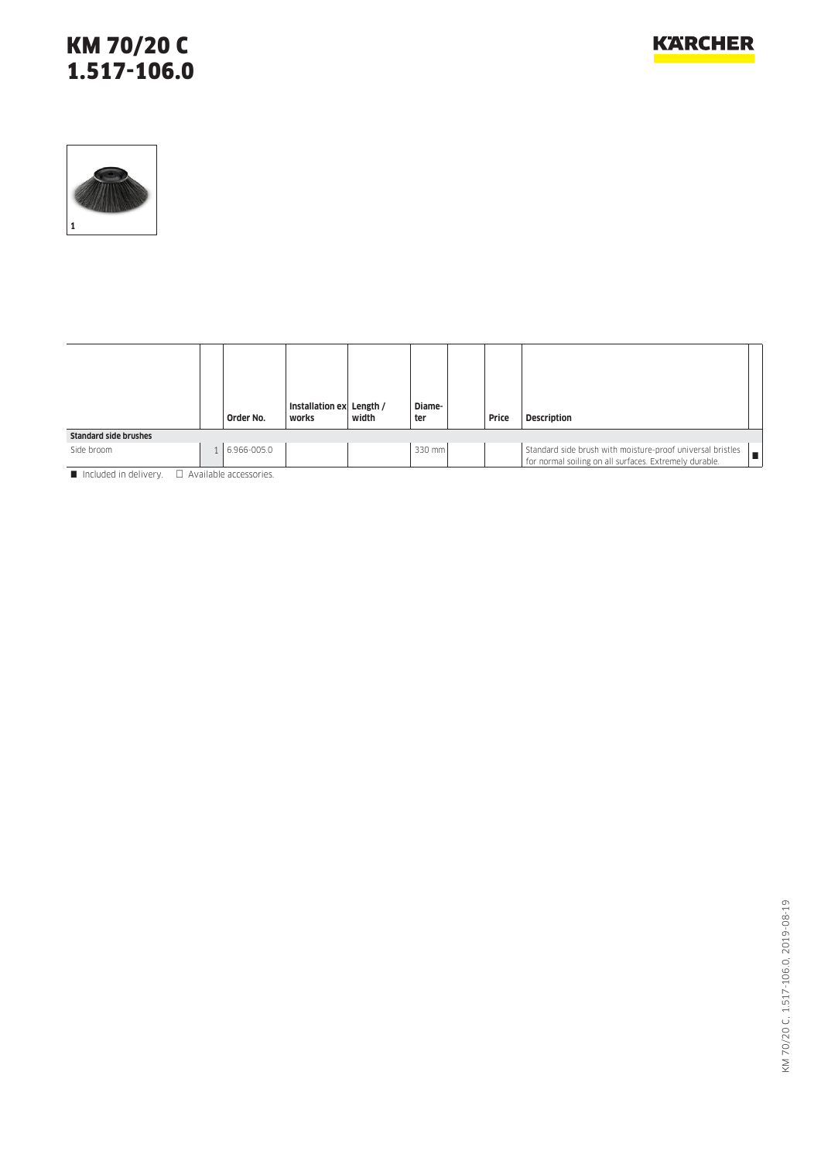## KM 70/20 C 1.517-106.0



|                              | Order No.   | Installation ex Length /<br>works | width | Diame-<br>ter | Price | <b>Description</b>                                                                                                   |
|------------------------------|-------------|-----------------------------------|-------|---------------|-------|----------------------------------------------------------------------------------------------------------------------|
| <b>Standard side brushes</b> |             |                                   |       |               |       |                                                                                                                      |
| Side broom                   | 6.966-005.0 |                                   |       | 330 mm        |       | Standard side brush with moisture-proof universal bristles<br>for normal soiling on all surfaces. Extremely durable. |

 $\blacksquare$  Included in delivery.  $\Box$  Available accessories.